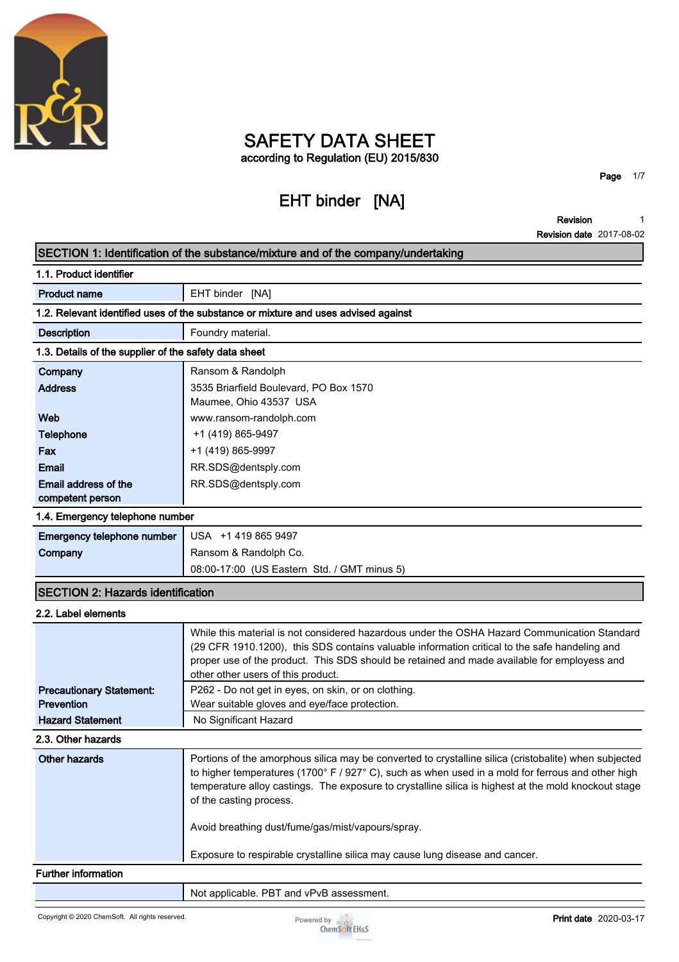

# **SAFETY DATA SHEET according to Regulation (EU) 2015/830**

# **EHT binder [NA]**

**Page 1/7**

**Revision Revision date 2017-08-02 1**

# **SECTION 1: Identification of the substance/mixture and of the company/undertaking**

| 1.1. Product identifier                                                            |                                                                                                                                                                                                                                                                                                                                               |  |  |
|------------------------------------------------------------------------------------|-----------------------------------------------------------------------------------------------------------------------------------------------------------------------------------------------------------------------------------------------------------------------------------------------------------------------------------------------|--|--|
| <b>Product name</b>                                                                | EHT binder [NA]                                                                                                                                                                                                                                                                                                                               |  |  |
| 1.2. Relevant identified uses of the substance or mixture and uses advised against |                                                                                                                                                                                                                                                                                                                                               |  |  |
| <b>Description</b>                                                                 | Foundry material.                                                                                                                                                                                                                                                                                                                             |  |  |
| 1.3. Details of the supplier of the safety data sheet                              |                                                                                                                                                                                                                                                                                                                                               |  |  |
| Company                                                                            | Ransom & Randolph                                                                                                                                                                                                                                                                                                                             |  |  |
| <b>Address</b>                                                                     | 3535 Briarfield Boulevard, PO Box 1570<br>Maumee, Ohio 43537 USA                                                                                                                                                                                                                                                                              |  |  |
| Web                                                                                | www.ransom-randolph.com                                                                                                                                                                                                                                                                                                                       |  |  |
| <b>Telephone</b>                                                                   | +1 (419) 865-9497                                                                                                                                                                                                                                                                                                                             |  |  |
| Fax                                                                                | +1 (419) 865-9997                                                                                                                                                                                                                                                                                                                             |  |  |
| <b>Email</b>                                                                       | RR.SDS@dentsply.com                                                                                                                                                                                                                                                                                                                           |  |  |
| Email address of the                                                               | RR.SDS@dentsply.com                                                                                                                                                                                                                                                                                                                           |  |  |
| competent person                                                                   |                                                                                                                                                                                                                                                                                                                                               |  |  |
| 1.4. Emergency telephone number                                                    |                                                                                                                                                                                                                                                                                                                                               |  |  |
| Emergency telephone number                                                         | USA +1 419 865 9497                                                                                                                                                                                                                                                                                                                           |  |  |
| Company                                                                            | Ransom & Randolph Co.                                                                                                                                                                                                                                                                                                                         |  |  |
|                                                                                    | 08:00-17:00 (US Eastern Std. / GMT minus 5)                                                                                                                                                                                                                                                                                                   |  |  |
| <b>SECTION 2: Hazards identification</b>                                           |                                                                                                                                                                                                                                                                                                                                               |  |  |
| 2.2. Label elements                                                                |                                                                                                                                                                                                                                                                                                                                               |  |  |
|                                                                                    | While this material is not considered hazardous under the OSHA Hazard Communication Standard<br>(29 CFR 1910.1200), this SDS contains valuable information critical to the safe handeling and<br>proper use of the product. This SDS should be retained and made available for employess and<br>other other users of this product.            |  |  |
| <b>Precautionary Statement:</b>                                                    | P262 - Do not get in eyes, on skin, or on clothing.                                                                                                                                                                                                                                                                                           |  |  |
| <b>Prevention</b>                                                                  | Wear suitable gloves and eye/face protection.                                                                                                                                                                                                                                                                                                 |  |  |
| <b>Hazard Statement</b>                                                            | No Significant Hazard                                                                                                                                                                                                                                                                                                                         |  |  |
| 2.3. Other hazards                                                                 |                                                                                                                                                                                                                                                                                                                                               |  |  |
| <b>Other hazards</b>                                                               | Portions of the amorphous silica may be converted to crystalline silica (cristobalite) when subjected<br>to higher temperatures (1700° F / 927° C), such as when used in a mold for ferrous and other high<br>temperature alloy castings. The exposure to crystalline silica is highest at the mold knockout stage<br>of the casting process. |  |  |
|                                                                                    | Avoid breathing dust/fume/gas/mist/vapours/spray.                                                                                                                                                                                                                                                                                             |  |  |

**Exposure to respirable crystalline silica may cause lung disease and cancer.**

#### **Further information**

**Not applicable. PBT and vPvB assessment.**

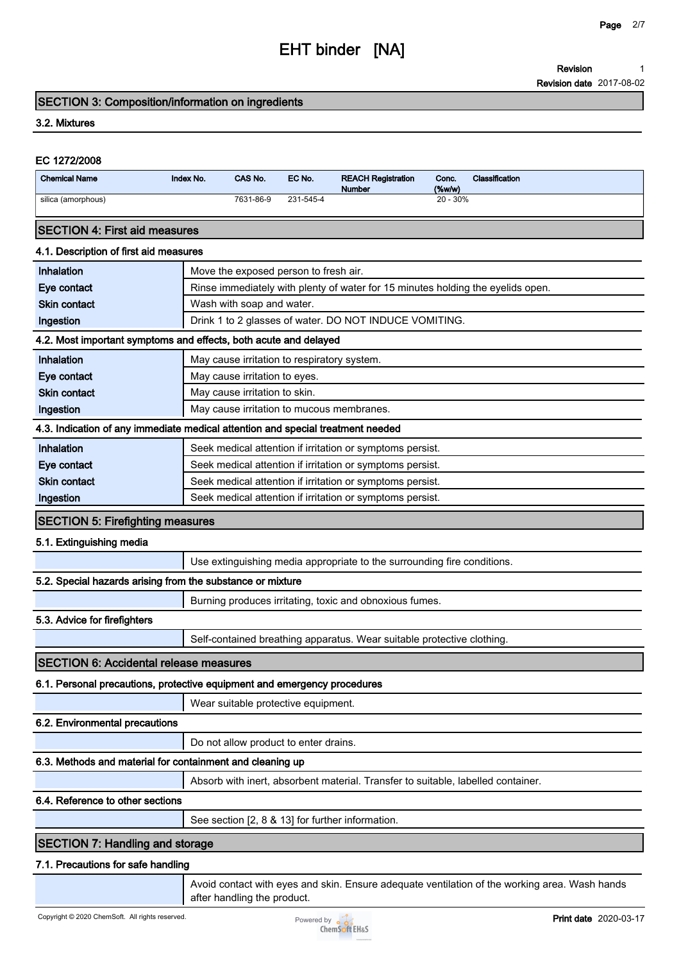**Revision 1**

**Revision date 2017-08-02**

#### **SECTION 3: Composition/information on ingredients**

#### **3.2. Mixtures**

| EC 1272/2008                                                                    |           |                               |                                             |                                                                                 |                 |                |
|---------------------------------------------------------------------------------|-----------|-------------------------------|---------------------------------------------|---------------------------------------------------------------------------------|-----------------|----------------|
| <b>Chemical Name</b>                                                            | Index No. | CAS No.                       | EC No.                                      | <b>REACH Registration</b><br><b>Number</b>                                      | Conc.<br>(%w/w) | Classification |
| silica (amorphous)                                                              |           | 7631-86-9                     | 231-545-4                                   |                                                                                 | $20 - 30%$      |                |
| <b>SECTION 4: First aid measures</b>                                            |           |                               |                                             |                                                                                 |                 |                |
| 4.1. Description of first aid measures                                          |           |                               |                                             |                                                                                 |                 |                |
| Inhalation                                                                      |           |                               | Move the exposed person to fresh air.       |                                                                                 |                 |                |
| Eye contact                                                                     |           |                               |                                             | Rinse immediately with plenty of water for 15 minutes holding the eyelids open. |                 |                |
| <b>Skin contact</b>                                                             |           | Wash with soap and water.     |                                             |                                                                                 |                 |                |
| Ingestion                                                                       |           |                               |                                             | Drink 1 to 2 glasses of water. DO NOT INDUCE VOMITING.                          |                 |                |
| 4.2. Most important symptoms and effects, both acute and delayed                |           |                               |                                             |                                                                                 |                 |                |
| Inhalation                                                                      |           |                               | May cause irritation to respiratory system. |                                                                                 |                 |                |
| Eye contact                                                                     |           | May cause irritation to eyes. |                                             |                                                                                 |                 |                |
| <b>Skin contact</b>                                                             |           | May cause irritation to skin. |                                             |                                                                                 |                 |                |
| Ingestion                                                                       |           |                               |                                             | May cause irritation to mucous membranes.                                       |                 |                |
| 4.3. Indication of any immediate medical attention and special treatment needed |           |                               |                                             |                                                                                 |                 |                |
| Inhalation                                                                      |           |                               |                                             | Seek medical attention if irritation or symptoms persist.                       |                 |                |
| Eye contact                                                                     |           |                               |                                             | Seek medical attention if irritation or symptoms persist.                       |                 |                |
| <b>Skin contact</b>                                                             |           |                               |                                             | Seek medical attention if irritation or symptoms persist.                       |                 |                |
| Ingestion                                                                       |           |                               |                                             | Seek medical attention if irritation or symptoms persist.                       |                 |                |
| <b>SECTION 5: Firefighting measures</b>                                         |           |                               |                                             |                                                                                 |                 |                |
| 5.1. Extinguishing media                                                        |           |                               |                                             |                                                                                 |                 |                |
|                                                                                 |           |                               |                                             | Use extinguishing media appropriate to the surrounding fire conditions.         |                 |                |
| 5.2. Special hazards arising from the substance or mixture                      |           |                               |                                             |                                                                                 |                 |                |
|                                                                                 |           |                               |                                             | Burning produces irritating, toxic and obnoxious fumes.                         |                 |                |
| 5.3. Advice for firefighters                                                    |           |                               |                                             |                                                                                 |                 |                |
|                                                                                 |           |                               |                                             | Self-contained breathing apparatus. Wear suitable protective clothing.          |                 |                |

#### **SECTION 6: Accidental release measures**

### **6.1. Personal precautions, protective equipment and emergency procedures**

**Wear suitable protective equipment.**

### **6.2. Environmental precautions**

**Do not allow product to enter drains.**

## **6.3. Methods and material for containment and cleaning up**

**Absorb with inert, absorbent material. Transfer to suitable, labelled container.**

### **6.4. Reference to other sections**

**See section [2, 8 & 13] for further information.**

## **SECTION 7: Handling and storage**

### **7.1. Precautions for safe handling**

**Avoid contact with eyes and skin. Ensure adequate ventilation of the working area. Wash hands after handling the product.**

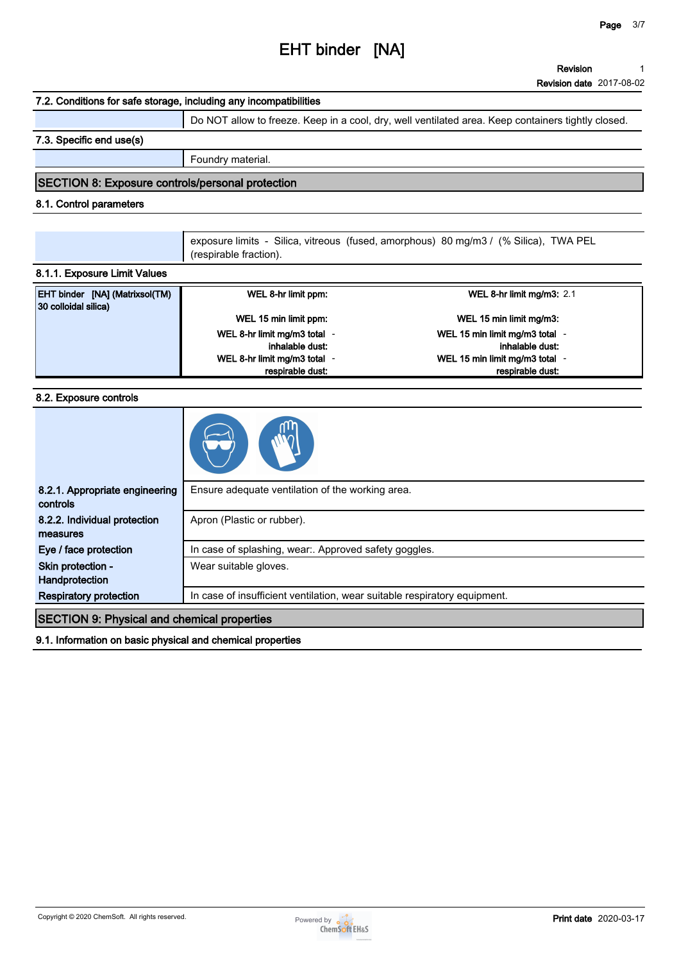#### **Revision 1**

**Revision date 2017-08-02**

#### **7.2. Conditions for safe storage, including any incompatibilities**

**Do NOT allow to freeze. Keep in a cool, dry, well ventilated area. Keep containers tightly closed.**

#### **7.3. Specific end use(s)**

**Foundry material.**

#### **SECTION 8: Exposure controls/personal protection**

#### **8.1. Control parameters**

**exposure limits - Silica, vitreous (fused, amorphous) 80 mg/m3 / (% Silica), TWA PEL (respirable fraction).**

#### **8.1.1. Exposure Limit Values**

| <b>EHT binder [NA] (Matrixsol(TM)</b><br>30 colloidal silica) | WEL 8-hr limit ppm:        | WEL 8-hr limit mg/m3: $2.1$    |
|---------------------------------------------------------------|----------------------------|--------------------------------|
|                                                               | WEL 15 min limit ppm:      | WEL 15 min limit mg/m3:        |
|                                                               | WEL 8-hr limit mg/m3 total | WEL 15 min limit mg/m3 total - |
|                                                               | inhalable dust:            | inhalable dust:                |
|                                                               | WEL 8-hr limit mg/m3 total | WEL 15 min limit mg/m3 total   |
|                                                               | respirable dust:           | respirable dust:               |

#### **8.2. Exposure controls**

| 8.2.1. Appropriate engineering<br>controls         | Ensure adequate ventilation of the working area.                          |  |
|----------------------------------------------------|---------------------------------------------------------------------------|--|
| 8.2.2. Individual protection<br>measures           | Apron (Plastic or rubber).                                                |  |
| Eye / face protection                              | In case of splashing, wear:. Approved safety goggles.                     |  |
| Skin protection -<br>Handprotection                | Wear suitable gloves.                                                     |  |
| <b>Respiratory protection</b>                      | In case of insufficient ventilation, wear suitable respiratory equipment. |  |
| <b>SECTION 9: Physical and chemical properties</b> |                                                                           |  |

**9.1. Information on basic physical and chemical properties**

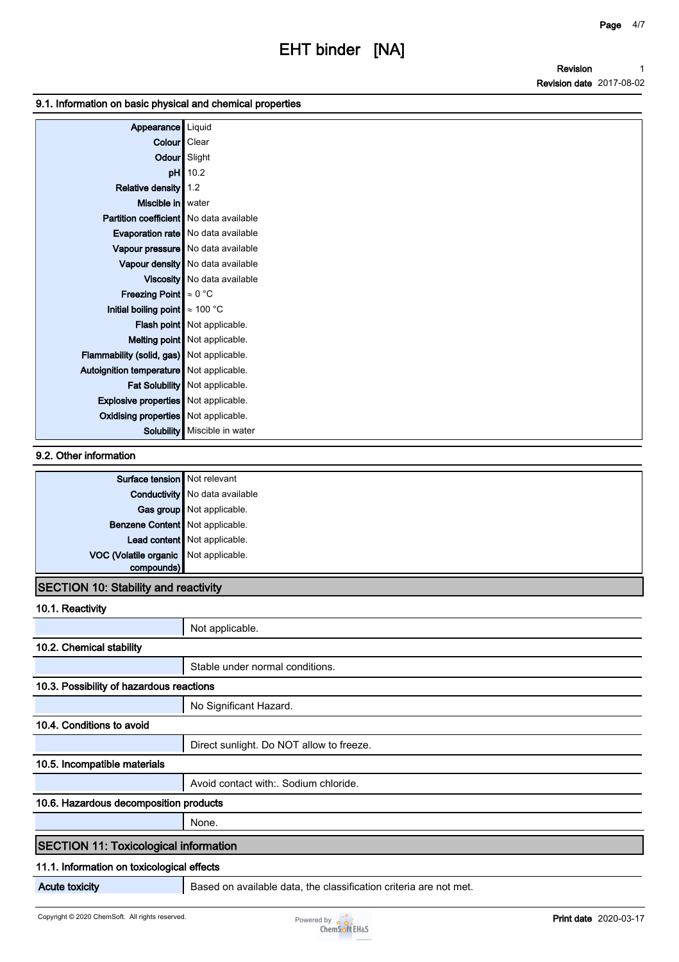#### **9.1. Information on basic physical and chemical properties**

| Appearance   Liquid                         |                                      |
|---------------------------------------------|--------------------------------------|
| Colour   Clear                              |                                      |
|                                             | Odour Slight                         |
| pH                                          | 10.2                                 |
| Relative density                            | 1.2                                  |
| Miscible in   water                         |                                      |
| Partition coefficient   No data available   |                                      |
|                                             | Evaporation rate   No data available |
|                                             | Vapour pressure   No data available  |
|                                             | Vapour density   No data available   |
|                                             | Viscosity   No data available        |
| <b>Freezing Point</b> $\approx 0$ °C        |                                      |
| Initial boiling point $\approx 100$ °C      |                                      |
|                                             | <b>Flash point</b> Not applicable.   |
|                                             | Melting point   Not applicable.      |
| Flammability (solid, gas) Not applicable.   |                                      |
| Autoignition temperature   Not applicable.  |                                      |
|                                             | Fat Solubility   Not applicable.     |
| <b>Explosive properties</b> Not applicable. |                                      |
| <b>Oxidising properties</b> Not applicable. |                                      |
|                                             | <b>Solubility</b> Miscible in water  |

#### **9.2. Other information**

| Conductivity No data available        |
|---------------------------------------|
|                                       |
| Gas group Not applicable.             |
| Benzene Content Not applicable.       |
| Lead content Not applicable.          |
| VOC (Volatile organic Not applicable. |
|                                       |

# **SECTION 10: Stability and reactivity**

| 10.1. Reactivity                             |                                                                   |  |  |
|----------------------------------------------|-------------------------------------------------------------------|--|--|
|                                              | Not applicable.                                                   |  |  |
| 10.2. Chemical stability                     |                                                                   |  |  |
|                                              | Stable under normal conditions.                                   |  |  |
| 10.3. Possibility of hazardous reactions     |                                                                   |  |  |
|                                              | No Significant Hazard.                                            |  |  |
| 10.4. Conditions to avoid                    |                                                                   |  |  |
|                                              | Direct sunlight. Do NOT allow to freeze.                          |  |  |
| 10.5. Incompatible materials                 |                                                                   |  |  |
|                                              | Avoid contact with: Sodium chloride.                              |  |  |
| 10.6. Hazardous decomposition products       |                                                                   |  |  |
|                                              | None.                                                             |  |  |
| <b>SECTION 11: Toxicological information</b> |                                                                   |  |  |
|                                              | 11.1. Information on toxicological effects                        |  |  |
| <b>Acute toxicity</b>                        | Based on available data, the classification criteria are not met. |  |  |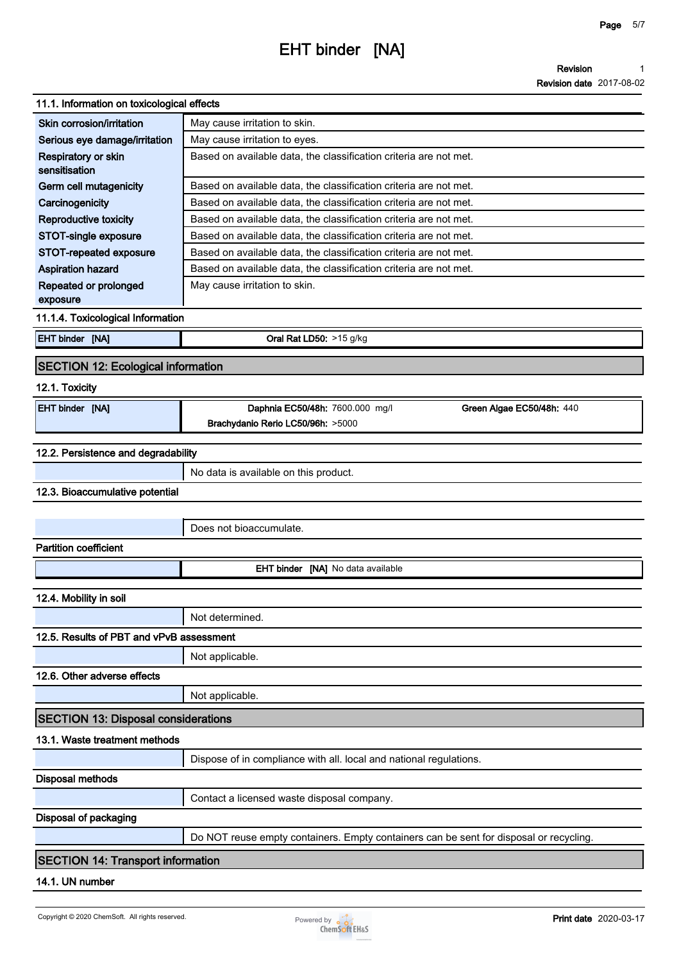#### **Revision 1**

**Revision date 2017-08-02**

| 11.1. Information on toxicological effects |                                                                                        |  |  |
|--------------------------------------------|----------------------------------------------------------------------------------------|--|--|
| Skin corrosion/irritation                  | May cause irritation to skin.                                                          |  |  |
| Serious eye damage/irritation              | May cause irritation to eyes.                                                          |  |  |
| Respiratory or skin<br>sensitisation       | Based on available data, the classification criteria are not met.                      |  |  |
| Germ cell mutagenicity                     | Based on available data, the classification criteria are not met.                      |  |  |
| Carcinogenicity                            | Based on available data, the classification criteria are not met.                      |  |  |
| <b>Reproductive toxicity</b>               | Based on available data, the classification criteria are not met.                      |  |  |
| STOT-single exposure                       | Based on available data, the classification criteria are not met.                      |  |  |
| STOT-repeated exposure                     | Based on available data, the classification criteria are not met.                      |  |  |
| <b>Aspiration hazard</b>                   | Based on available data, the classification criteria are not met.                      |  |  |
| Repeated or prolonged<br>exposure          | May cause irritation to skin.                                                          |  |  |
| 11.1.4. Toxicological Information          |                                                                                        |  |  |
| <b>EHT binder [NA]</b>                     | Oral Rat LD50: >15 g/kg                                                                |  |  |
| <b>SECTION 12: Ecological information</b>  |                                                                                        |  |  |
| 12.1. Toxicity                             |                                                                                        |  |  |
| <b>EHT binder [NA]</b>                     | Daphnia EC50/48h: 7600.000 mg/l<br>Green Algae EC50/48h: 440                           |  |  |
|                                            | Brachydanio Rerio LC50/96h: >5000                                                      |  |  |
| 12.2. Persistence and degradability        |                                                                                        |  |  |
|                                            | No data is available on this product.                                                  |  |  |
| 12.3. Bioaccumulative potential            |                                                                                        |  |  |
|                                            |                                                                                        |  |  |
|                                            | Does not bioaccumulate.                                                                |  |  |
| <b>Partition coefficient</b>               |                                                                                        |  |  |
|                                            | EHT binder [NA] No data available                                                      |  |  |
| 12.4. Mobility in soil                     |                                                                                        |  |  |
|                                            |                                                                                        |  |  |
|                                            | Not determined.                                                                        |  |  |
| 12.5. Results of PBT and vPvB assessment   |                                                                                        |  |  |
|                                            | Not applicable.                                                                        |  |  |
| 12.6. Other adverse effects                |                                                                                        |  |  |
|                                            | Not applicable.                                                                        |  |  |
| <b>SECTION 13: Disposal considerations</b> |                                                                                        |  |  |
| 13.1. Waste treatment methods              |                                                                                        |  |  |
|                                            | Dispose of in compliance with all. local and national regulations.                     |  |  |
| <b>Disposal methods</b>                    |                                                                                        |  |  |
|                                            | Contact a licensed waste disposal company.                                             |  |  |
| Disposal of packaging                      |                                                                                        |  |  |
|                                            | Do NOT reuse empty containers. Empty containers can be sent for disposal or recycling. |  |  |
| <b>SECTION 14: Transport information</b>   |                                                                                        |  |  |
|                                            |                                                                                        |  |  |

## **14.1. UN number**

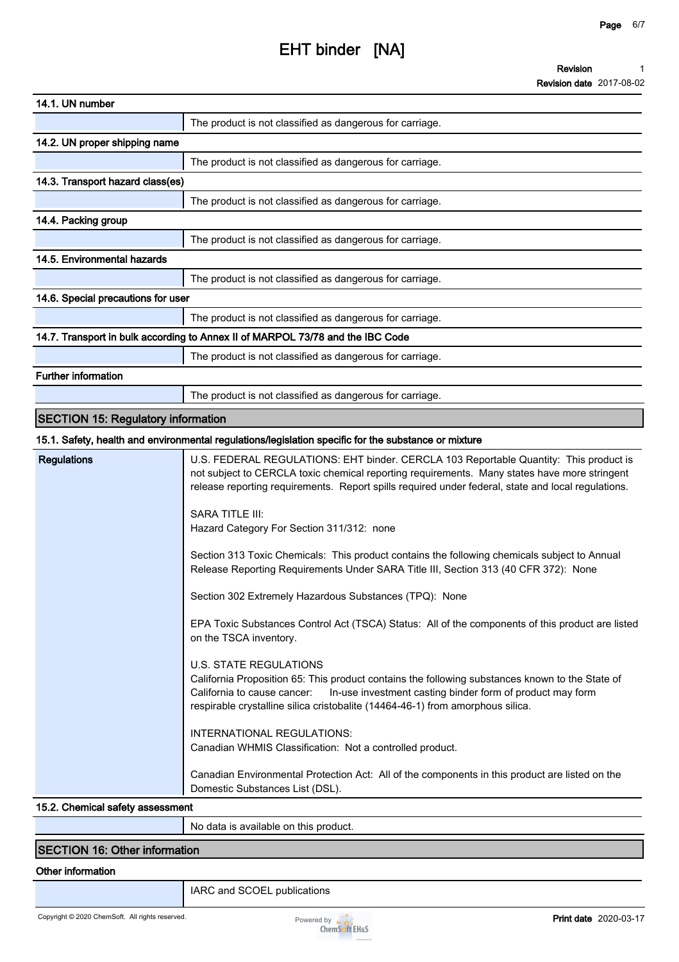| 14.1. UN number                           |                                                                                                                                                                                                                                                                                                                                                                                                                                                                                                                                                                                                                                                                                                                                                                                                                                                                                                                                                                                                                                                                                                                                                        |
|-------------------------------------------|--------------------------------------------------------------------------------------------------------------------------------------------------------------------------------------------------------------------------------------------------------------------------------------------------------------------------------------------------------------------------------------------------------------------------------------------------------------------------------------------------------------------------------------------------------------------------------------------------------------------------------------------------------------------------------------------------------------------------------------------------------------------------------------------------------------------------------------------------------------------------------------------------------------------------------------------------------------------------------------------------------------------------------------------------------------------------------------------------------------------------------------------------------|
|                                           | The product is not classified as dangerous for carriage.                                                                                                                                                                                                                                                                                                                                                                                                                                                                                                                                                                                                                                                                                                                                                                                                                                                                                                                                                                                                                                                                                               |
| 14.2. UN proper shipping name             |                                                                                                                                                                                                                                                                                                                                                                                                                                                                                                                                                                                                                                                                                                                                                                                                                                                                                                                                                                                                                                                                                                                                                        |
|                                           | The product is not classified as dangerous for carriage.                                                                                                                                                                                                                                                                                                                                                                                                                                                                                                                                                                                                                                                                                                                                                                                                                                                                                                                                                                                                                                                                                               |
| 14.3. Transport hazard class(es)          |                                                                                                                                                                                                                                                                                                                                                                                                                                                                                                                                                                                                                                                                                                                                                                                                                                                                                                                                                                                                                                                                                                                                                        |
|                                           | The product is not classified as dangerous for carriage.                                                                                                                                                                                                                                                                                                                                                                                                                                                                                                                                                                                                                                                                                                                                                                                                                                                                                                                                                                                                                                                                                               |
| 14.4. Packing group                       |                                                                                                                                                                                                                                                                                                                                                                                                                                                                                                                                                                                                                                                                                                                                                                                                                                                                                                                                                                                                                                                                                                                                                        |
|                                           | The product is not classified as dangerous for carriage.                                                                                                                                                                                                                                                                                                                                                                                                                                                                                                                                                                                                                                                                                                                                                                                                                                                                                                                                                                                                                                                                                               |
| 14.5. Environmental hazards               |                                                                                                                                                                                                                                                                                                                                                                                                                                                                                                                                                                                                                                                                                                                                                                                                                                                                                                                                                                                                                                                                                                                                                        |
|                                           | The product is not classified as dangerous for carriage.                                                                                                                                                                                                                                                                                                                                                                                                                                                                                                                                                                                                                                                                                                                                                                                                                                                                                                                                                                                                                                                                                               |
| 14.6. Special precautions for user        |                                                                                                                                                                                                                                                                                                                                                                                                                                                                                                                                                                                                                                                                                                                                                                                                                                                                                                                                                                                                                                                                                                                                                        |
|                                           | The product is not classified as dangerous for carriage.                                                                                                                                                                                                                                                                                                                                                                                                                                                                                                                                                                                                                                                                                                                                                                                                                                                                                                                                                                                                                                                                                               |
|                                           | 14.7. Transport in bulk according to Annex II of MARPOL 73/78 and the IBC Code                                                                                                                                                                                                                                                                                                                                                                                                                                                                                                                                                                                                                                                                                                                                                                                                                                                                                                                                                                                                                                                                         |
|                                           | The product is not classified as dangerous for carriage.                                                                                                                                                                                                                                                                                                                                                                                                                                                                                                                                                                                                                                                                                                                                                                                                                                                                                                                                                                                                                                                                                               |
| <b>Further information</b>                |                                                                                                                                                                                                                                                                                                                                                                                                                                                                                                                                                                                                                                                                                                                                                                                                                                                                                                                                                                                                                                                                                                                                                        |
|                                           | The product is not classified as dangerous for carriage.                                                                                                                                                                                                                                                                                                                                                                                                                                                                                                                                                                                                                                                                                                                                                                                                                                                                                                                                                                                                                                                                                               |
| <b>SECTION 15: Regulatory information</b> |                                                                                                                                                                                                                                                                                                                                                                                                                                                                                                                                                                                                                                                                                                                                                                                                                                                                                                                                                                                                                                                                                                                                                        |
|                                           | 15.1. Safety, health and environmental regulations/legislation specific for the substance or mixture                                                                                                                                                                                                                                                                                                                                                                                                                                                                                                                                                                                                                                                                                                                                                                                                                                                                                                                                                                                                                                                   |
| <b>Regulations</b>                        | U.S. FEDERAL REGULATIONS: EHT binder. CERCLA 103 Reportable Quantity: This product is<br>not subject to CERCLA toxic chemical reporting requirements. Many states have more stringent<br>release reporting requirements. Report spills required under federal, state and local regulations.<br>SARA TITLE III:<br>Hazard Category For Section 311/312: none<br>Section 313 Toxic Chemicals: This product contains the following chemicals subject to Annual<br>Release Reporting Requirements Under SARA Title III, Section 313 (40 CFR 372): None<br>Section 302 Extremely Hazardous Substances (TPQ): None<br>EPA Toxic Substances Control Act (TSCA) Status: All of the components of this product are listed<br>on the TSCA inventory.<br><b>U.S. STATE REGULATIONS</b><br>California Proposition 65: This product contains the following substances known to the State of<br>California to cause cancer:<br>In-use investment casting binder form of product may form<br>respirable crystalline silica cristobalite (14464-46-1) from amorphous silica.<br>INTERNATIONAL REGULATIONS:<br>Canadian WHMIS Classification: Not a controlled product. |
|                                           | Canadian Environmental Protection Act: All of the components in this product are listed on the<br>Domestic Substances List (DSL).                                                                                                                                                                                                                                                                                                                                                                                                                                                                                                                                                                                                                                                                                                                                                                                                                                                                                                                                                                                                                      |
| 15.2. Chemical safety assessment          |                                                                                                                                                                                                                                                                                                                                                                                                                                                                                                                                                                                                                                                                                                                                                                                                                                                                                                                                                                                                                                                                                                                                                        |

**No data is available on this product.**

### **SECTION 16: Other information**

#### **Other information**

**IARC and SCOEL publications**